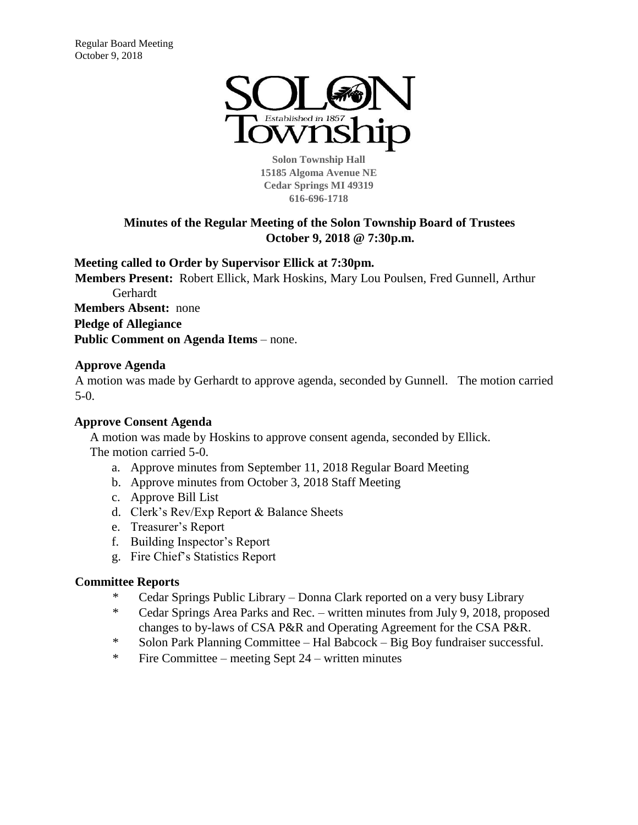

**Solon Township Hall 15185 Algoma Avenue NE Cedar Springs MI 49319 616-696-1718** 

# **Minutes of the Regular Meeting of the Solon Township Board of Trustees October 9, 2018 @ 7:30p.m.**

**Meeting called to Order by Supervisor Ellick at 7:30pm.** 

**Members Present:** Robert Ellick, Mark Hoskins, Mary Lou Poulsen, Fred Gunnell, Arthur Gerhardt **Members Absent:** none **Pledge of Allegiance**

**Public Comment on Agenda Items** – none.

# **Approve Agenda**

A motion was made by Gerhardt to approve agenda, seconded by Gunnell. The motion carried 5-0.

# **Approve Consent Agenda**

A motion was made by Hoskins to approve consent agenda, seconded by Ellick. The motion carried 5-0.

- a. Approve minutes from September 11, 2018 Regular Board Meeting
- b. Approve minutes from October 3, 2018 Staff Meeting
- c. Approve Bill List
- d. Clerk's Rev/Exp Report & Balance Sheets
- e. Treasurer's Report
- f. Building Inspector's Report
- g. Fire Chief's Statistics Report

#### **Committee Reports**

- \* Cedar Springs Public Library Donna Clark reported on a very busy Library
- \* Cedar Springs Area Parks and Rec. written minutes from July 9, 2018, proposed changes to by-laws of CSA P&R and Operating Agreement for the CSA P&R.
- \* Solon Park Planning Committee Hal Babcock Big Boy fundraiser successful.
- \* Fire Committee meeting Sept 24 written minutes